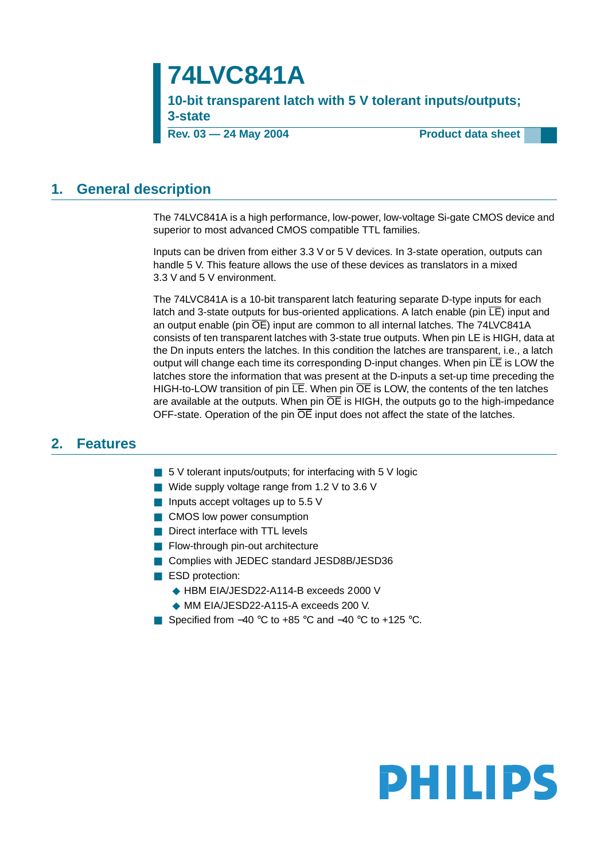## **74LVC841A**

**10-bit transparent latch with 5 V tolerant inputs/outputs; 3-state**

**Rev. 03 — 24 May 2004** Product data sheet

### <span id="page-0-0"></span>**1. General description**

The 74LVC841A is a high performance, low-power, low-voltage Si-gate CMOS device and superior to most advanced CMOS compatible TTL families.

Inputs can be driven from either 3.3 V or 5 V devices. In 3-state operation, outputs can handle 5 V. This feature allows the use of these devices as translators in a mixed 3.3 V and 5 V environment.

The 74LVC841A is a 10-bit transparent latch featuring separate D-type inputs for each latch and 3-state outputs for bus-oriented applications. A latch enable (pin  $\overline{\mathsf{LE}}$ ) input and an output enable (pin  $\overline{OE}$ ) input are common to all internal latches. The 74LVC841A consists of ten transparent latches with 3-state true outputs. When pin LE is HIGH, data at the Dn inputs enters the latches. In this condition the latches are transparent, i.e., a latch output will change each time its corresponding D-input changes. When pin  $\overline{\mathsf{LE}}$  is LOW the latches store the information that was present at the D-inputs a set-up time preceding the HIGH-to-LOW transition of pin  $\overline{LE}$ . When pin  $\overline{OE}$  is LOW, the contents of the ten latches are available at the outputs. When pin  $\overline{OE}$  is HIGH, the outputs go to the high-impedance OFF-state. Operation of the pin  $\overline{OE}$  input does not affect the state of the latches.

### <span id="page-0-1"></span>**2. Features**

- 5 V tolerant inputs/outputs; for interfacing with 5 V logic
- Wide supply voltage range from 1.2 V to 3.6 V
- Inputs accept voltages up to 5.5 V
- CMOS low power consumption
- Direct interface with TTL levels
- Flow-through pin-out architecture
- Complies with JEDEC standard JESD8B/JESD36
- ESD protection:
	- ◆ HBM EIA/JESD22-A114-B exceeds 2000 V
	- ◆ MM EIA/JESD22-A115-A exceeds 200 V.
- Specified from –40 °C to +85 °C and –40 °C to +125 °C.

# **PHILIPS**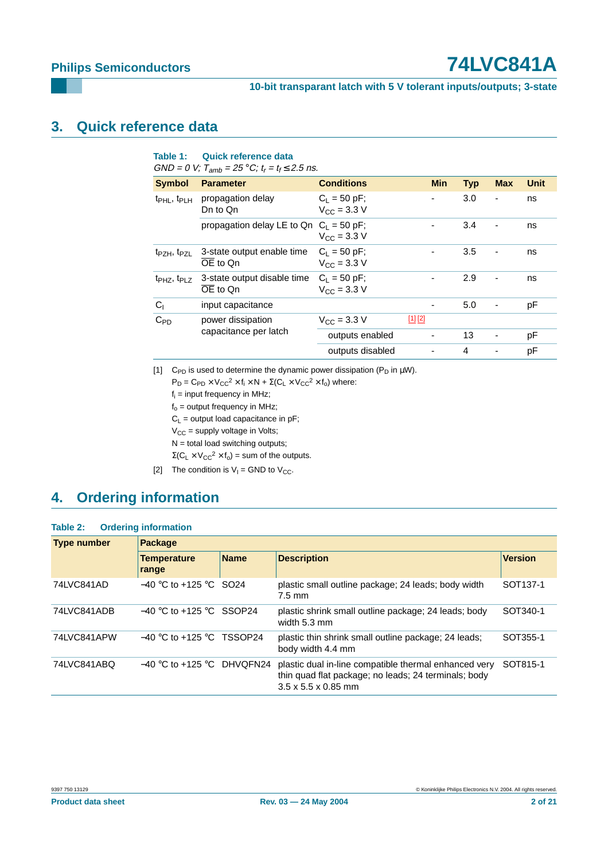### **10-bit transparant latch with 5 V tolerant inputs/outputs; 3-state**

### <span id="page-1-2"></span>**3. Quick reference data**

### **Table 1: Quick reference data**

 $GND = 0$  V;  $T_{amb} = 25 °C$ ;  $t_r = t_f \le 2.5$  ns.

| <b>Symbol</b>                       | <b>Parameter</b>                                                  | <b>Conditions</b>                                 | <b>Min</b> | <b>Typ</b> | <b>Max</b> | <b>Unit</b> |
|-------------------------------------|-------------------------------------------------------------------|---------------------------------------------------|------------|------------|------------|-------------|
| $t_{\rm PHL}$ , $t_{\rm PLH}$       | propagation delay<br>Dn to Qn                                     | $C_1 = 50$ pF;<br>$V_{\text{C}C} = 3.3 \text{ V}$ |            | 3.0        | ٠          | ns          |
|                                     | propagation delay LE to Qn $C_1 = 50$ pF;                         | $V_{\text{C}C} = 3.3 \text{ V}$                   |            | 3.4        |            | ns          |
| t <sub>PZH</sub> , t <sub>PZL</sub> | 3-state output enable time<br>OE to On                            | $C_L = 50$ pF;<br>$V_{\rm CC} = 3.3 \text{ V}$    |            | 3.5        | ٠          | ns          |
| $tpHZ$ , $tpLZ$                     | 3-state output disable time<br>$\overline{OE}$ to $\overline{On}$ | $C_1 = 50$ pF;<br>$V_{\text{CC}} = 3.3 \text{ V}$ |            | 2.9        |            | ns          |
| C <sub>1</sub>                      | input capacitance                                                 |                                                   |            | 5.0        |            | рF          |
| $C_{PD}$                            | power dissipation<br>capacitance per latch                        | $V_{\rm CC}$ = 3.3 V                              | [1] [2]    |            |            |             |
|                                     |                                                                   | outputs enabled                                   |            | 13         |            | рF          |
|                                     |                                                                   | outputs disabled                                  |            | 4          |            | рF          |

<span id="page-1-0"></span>[1] C<sub>PD</sub> is used to determine the dynamic power dissipation ( $P_D$  in  $\mu W$ ).

 $P_D = C_{PD} \times V_{CC}^2 \times f_i \times N + \Sigma (C_L \times V_{CC}^2 \times f_0)$  where:

- $f_i$  = input frequency in MHz;
- $f_0$  = output frequency in MHz;
- $C_L$  = output load capacitance in pF;
- $V_{CC}$  = supply voltage in Volts;
- $N =$  total load switching outputs;

 $\Sigma(C_L \times V_{CC}^2 \times f_0) =$  sum of the outputs.

<span id="page-1-1"></span>[2] The condition is  $V_1$  = GND to  $V_{CC}$ .

### <span id="page-1-3"></span>**4. Ordering information**

| Table 2: |  | <b>Ordering information</b> |
|----------|--|-----------------------------|
|----------|--|-----------------------------|

| <b>Type number</b> | <b>Package</b>               |             |                                                                                                                                                  |                      |  |  |  |
|--------------------|------------------------------|-------------|--------------------------------------------------------------------------------------------------------------------------------------------------|----------------------|--|--|--|
|                    | <b>Temperature</b><br>range  | <b>Name</b> | <b>Description</b>                                                                                                                               | <b>Version</b>       |  |  |  |
| 74LVC841AD         | $-40$ °C to +125 °C SO24     |             | plastic small outline package; 24 leads; body width<br>$7.5 \text{ mm}$                                                                          | SOT <sub>137-1</sub> |  |  |  |
| 74LVC841ADB        | $-40$ °C to +125 °C SSOP24   |             | plastic shrink small outline package; 24 leads; body<br>width 5.3 mm                                                                             | SOT340-1             |  |  |  |
| 74LVC841APW        | $-40$ °C to +125 °C TSSOP24  |             | plastic thin shrink small outline package; 24 leads;<br>body width 4.4 mm                                                                        | SOT355-1             |  |  |  |
| 74LVC841ABQ        | $-40$ °C to +125 °C DHVQFN24 |             | plastic dual in-line compatible thermal enhanced very<br>thin quad flat package; no leads; 24 terminals; body<br>$3.5 \times 5.5 \times 0.85$ mm | SOT815-1             |  |  |  |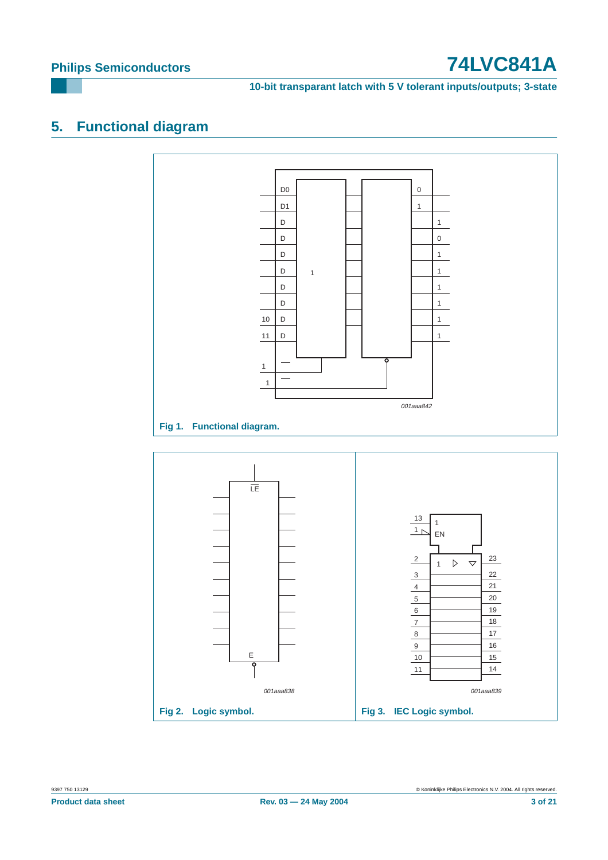**10-bit transparant latch with 5 V tolerant inputs/outputs; 3-state**

### <span id="page-2-0"></span>**5. Functional diagram**



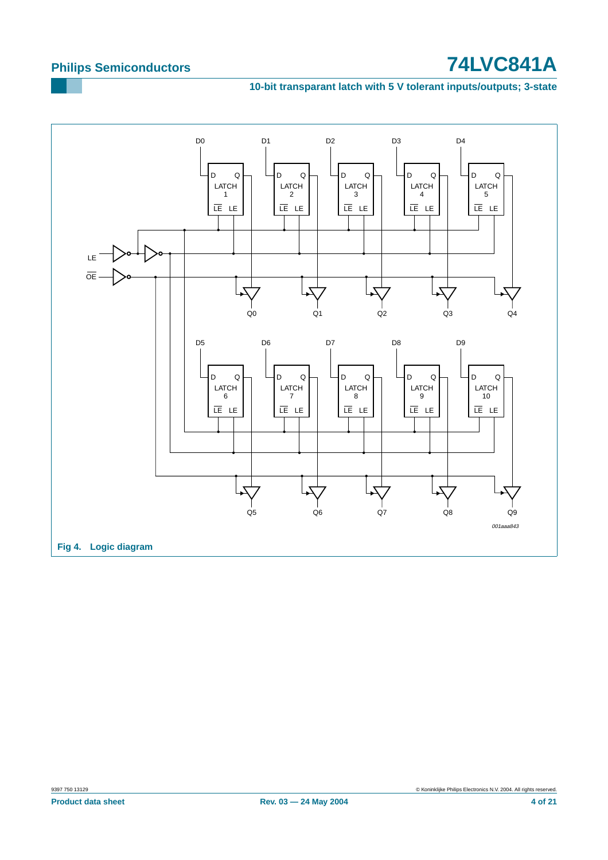### **10-bit transparant latch with 5 V tolerant inputs/outputs; 3-state**

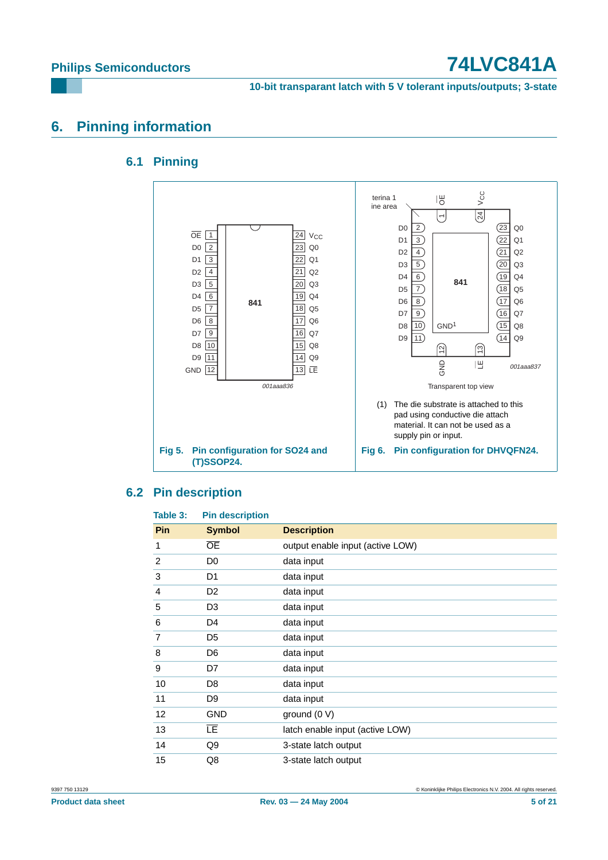**10-bit transparant latch with 5 V tolerant inputs/outputs; 3-state**

### <span id="page-4-1"></span><span id="page-4-0"></span>**6. Pinning information**

### **6.1 Pinning**



### <span id="page-4-2"></span>**6.2 Pin description**

| Table 3:   | <b>Pin description</b> |                                  |
|------------|------------------------|----------------------------------|
| <b>Pin</b> | <b>Symbol</b>          | <b>Description</b>               |
| 1          | <b>OE</b>              | output enable input (active LOW) |
| 2          | D <sub>0</sub>         | data input                       |
| 3          | D <sub>1</sub>         | data input                       |
| 4          | D <sub>2</sub>         | data input                       |
| 5          | D <sub>3</sub>         | data input                       |
| 6          | D4                     | data input                       |
| 7          | D <sub>5</sub>         | data input                       |
| 8          | D <sub>6</sub>         | data input                       |
| 9          | D7                     | data input                       |
| 10         | D <sub>8</sub>         | data input                       |
| 11         | D <sub>9</sub>         | data input                       |
| 12         | <b>GND</b>             | ground (0 V)                     |
| 13         | LE.                    | latch enable input (active LOW)  |
| 14         | Q9                     | 3-state latch output             |
| 15         | Q8                     | 3-state latch output             |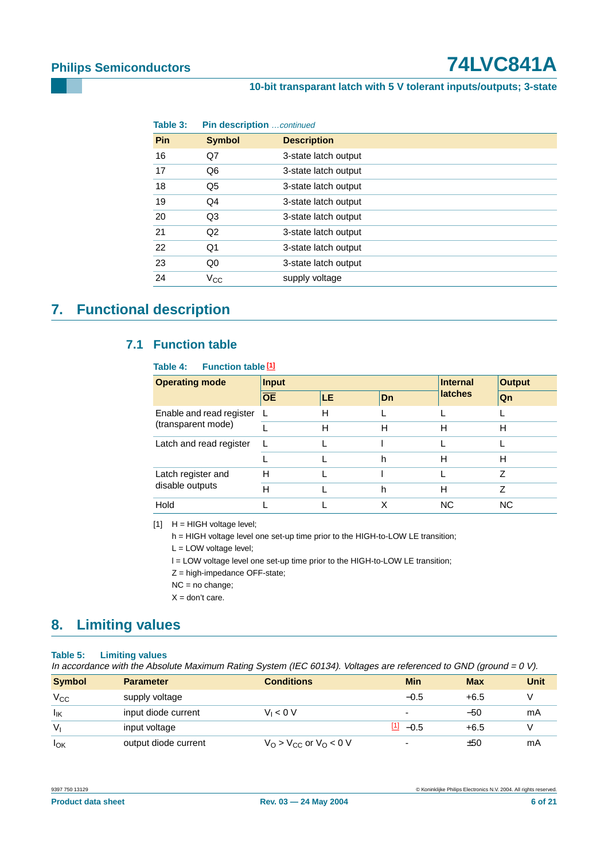### **10-bit transparant latch with 5 V tolerant inputs/outputs; 3-state**

| Table 3:   | <b>Pin description</b> continued |                      |  |  |
|------------|----------------------------------|----------------------|--|--|
| <b>Pin</b> | <b>Symbol</b>                    | <b>Description</b>   |  |  |
| 16         | Q7                               | 3-state latch output |  |  |
| 17         | Q6                               | 3-state latch output |  |  |
| 18         | Q5                               | 3-state latch output |  |  |
| 19         | Q4                               | 3-state latch output |  |  |
| 20         | Q3                               | 3-state latch output |  |  |
| 21         | Q <sub>2</sub>                   | 3-state latch output |  |  |
| 22         | Q1                               | 3-state latch output |  |  |
| 23         | Q0                               | 3-state latch output |  |  |
| 24         | $V_{CC}$                         | supply voltage       |  |  |

## <span id="page-5-2"></span><span id="page-5-1"></span>**7. Functional description**

### **7.1 Function table**

### **Table 4: Function table [\[1\]](#page-5-0)**

| <b>Operating mode</b>    | <b>Input</b>    |    | Internal | <b>Output</b>  |           |
|--------------------------|-----------------|----|----------|----------------|-----------|
|                          | $\overline{OE}$ | LE | Dn       | <b>latches</b> | Qn        |
| Enable and read register | L               | н  |          |                |           |
| (transparent mode)       |                 | н  | н        | н              | н         |
| Latch and read register  | $\mathbf{L}$    |    |          |                |           |
|                          |                 |    | h        | н              | н         |
| Latch register and       | н               |    |          |                | 7         |
| disable outputs          | н               |    | h        | н              | 7         |
| Hold                     |                 |    | X        | ΝC             | <b>NC</b> |

<span id="page-5-0"></span> $[1]$  H = HIGH voltage level;

h = HIGH voltage level one set-up time prior to the HIGH-to-LOW LE transition;

L = LOW voltage level;

l = LOW voltage level one set-up time prior to the HIGH-to-LOW LE transition;

Z = high-impedance OFF-state;

NC = no change;

 $X =$  don't care.

### <span id="page-5-3"></span>**8. Limiting values**

### **Table 5: Limiting values**

In accordance with the Absolute Maximum Rating System (IEC 60134). Voltages are referenced to GND (ground <sup>=</sup> 0 V).

| <b>Symbol</b> | <b>Parameter</b>     | <b>Conditions</b>        | Min                      | <b>Max</b> | <b>Unit</b> |
|---------------|----------------------|--------------------------|--------------------------|------------|-------------|
| $V_{\rm CC}$  | supply voltage       |                          | $-0.5$                   | $+6.5$     |             |
| lık           | input diode current  | $V_1 < 0 V$              | $\overline{\phantom{0}}$ | -50        | mA          |
| $V_{I}$       | input voltage        |                          | $\frac{[1]}{2}$ -0.5     | $+6.5$     |             |
| $I_{OK}$      | output diode current | $VO > VCC$ or $VO < 0$ V | $\overline{\phantom{0}}$ | ±50        | mA          |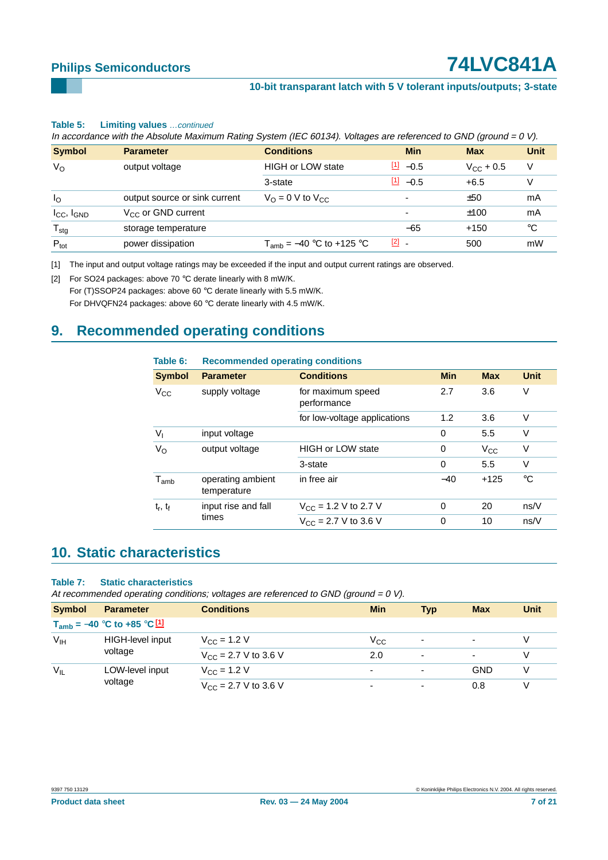### **10-bit transparant latch with 5 V tolerant inputs/outputs; 3-state**

### **Table 5: Limiting values** …continued

In accordance with the Absolute Maximum Rating System (IEC 60134). Voltages are referenced to GND (ground =  $0 V$ ).

| <b>Symbol</b>                      | <b>Parameter</b>              | <b>Conditions</b>                  | <b>Min</b>               | <b>Max</b>         | <b>Unit</b> |
|------------------------------------|-------------------------------|------------------------------------|--------------------------|--------------------|-------------|
| $V_{\rm O}$                        | output voltage                | <b>HIGH or LOW state</b>           | $\frac{11}{2}$ -0.5      | $V_{\rm CC}$ + 0.5 | V           |
|                                    |                               | 3-state                            | $[1] -0.5$               | $+6.5$             |             |
| $I_{\rm O}$                        | output source or sink current | $V_{\Omega} = 0$ V to $V_{\Omega}$ | $\overline{\phantom{0}}$ | ±50                | mA          |
| I <sub>CC</sub> , I <sub>GND</sub> | $V_{CC}$ or GND current       |                                    | $\overline{\phantom{0}}$ | ±100               | mA          |
| ${\mathsf T}_{\text{stg}}$         | storage temperature           |                                    | $-65$                    | $+150$             | °C          |
| $P_{\text{tot}}$                   | power dissipation             | $T_{amb}$ = -40 °C to +125 °C      | $[2]$ $-$                | 500                | mW          |

<span id="page-6-0"></span>[1] The input and output voltage ratings may be exceeded if the input and output current ratings are observed.

<span id="page-6-1"></span>[2] For SO24 packages: above 70 °C derate linearly with 8 mW/K.

For (T)SSOP24 packages: above 60 °C derate linearly with 5.5 mW/K. For DHVQFN24 packages: above 60 °C derate linearly with 4.5 mW/K.

### <span id="page-6-2"></span>**9. Recommended operating conditions**

| Table 6:      | <b>Recommended operating conditions</b> |                                  |            |              |      |  |  |
|---------------|-----------------------------------------|----------------------------------|------------|--------------|------|--|--|
| <b>Symbol</b> | <b>Parameter</b>                        | <b>Conditions</b>                | <b>Min</b> | <b>Max</b>   | Unit |  |  |
| $V_{\rm CC}$  | supply voltage                          | for maximum speed<br>performance | 2.7        | 3.6          | V    |  |  |
|               |                                         | for low-voltage applications     | 1.2        | 3.6          | V    |  |  |
| $V_{1}$       | input voltage                           |                                  | 0          | 5.5          | V    |  |  |
| $V_{\rm O}$   | output voltage                          | <b>HIGH or LOW state</b>         | 0          | $V_{\rm CC}$ | V    |  |  |
|               |                                         | 3-state                          | 0          | 5.5          | V    |  |  |
| $T_{amb}$     | operating ambient<br>temperature        | in free air                      | $-40$      | $+125$       | °C   |  |  |
| $t_r$ , $t_f$ | input rise and fall                     | $V_{\rm CC}$ = 1.2 V to 2.7 V    | 0          | 20           | ns/V |  |  |
|               | times                                   | $V_{CC}$ = 2.7 V to 3.6 V        | 0          | 10           | ns/V |  |  |

### <span id="page-6-3"></span>**10. Static characteristics**

### **Table 7: Static characteristics**

At recommended operating conditions; voltages are referenced to GND (ground =  $0$  V).

| <b>Symbol</b>                                 | <b>Parameter</b>           | <b>Conditions</b>                | <b>Min</b> | <b>Typ</b>               | <b>Max</b>               | <b>Unit</b> |  |  |
|-----------------------------------------------|----------------------------|----------------------------------|------------|--------------------------|--------------------------|-------------|--|--|
| $T_{amb} = -40$ °C to +85 °C $\underline{11}$ |                            |                                  |            |                          |                          |             |  |  |
| $V_{\text{IH}}$<br>voltage                    | HIGH-level input           | $V_{\rm CC}$ = 1.2 V             | Vcc        | $\overline{\phantom{0}}$ | $\overline{\phantom{a}}$ | V           |  |  |
|                                               |                            | $V_{CC}$ = 2.7 V to 3.6 V        | 2.0        | $\overline{\phantom{0}}$ | $\overline{\phantom{a}}$ | V           |  |  |
| $V_{IL}$                                      | LOW-level input<br>voltage | $V_{\rm CC}$ = 1.2 V             | -          |                          | GND                      | V           |  |  |
|                                               |                            | $V_{\text{CC}}$ = 2.7 V to 3.6 V | ۰          |                          | 0.8                      | V           |  |  |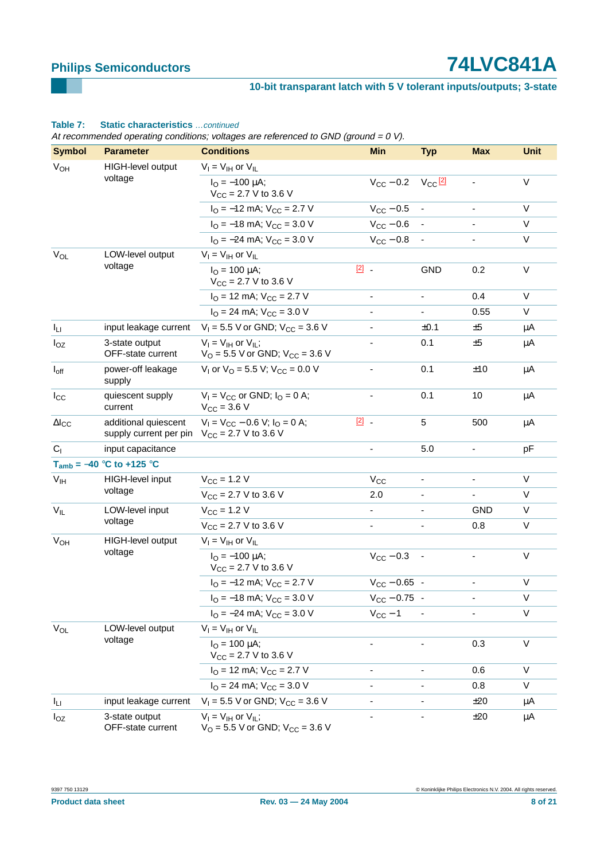### **10-bit transparant latch with 5 V tolerant inputs/outputs; 3-state**

### $V_{OH}$  HIGH-level output voltage  $V_{\rm I} = V_{\rm III}$  or  $V_{\rm II}$  $I_{\Omega} = -100 \mu A$ ;  $V_{CC} = 2.7 V$  to 3.6 V  $V_{\text{CC}} - 0.2 \quad V_{\text{CC}} \frac{2}{2}$  - V  $I<sub>O</sub> = -12$  mA;  $V<sub>CC</sub> = 2.7$  V  $V<sub>CC</sub> - 0.5$  -  $V<sub>C</sub> = 12$  $I_{\text{O}} = -18 \text{ mA}$ ;  $V_{\text{CC}} = 3.0 \text{ V}$   $V_{\text{CC}} - 0.6$  -  $V$  $I_{\text{O}} = -24 \text{ mA}$ ;  $V_{\text{CC}} = 3.0 \text{ V}$   $V_{\text{CC}} - 0.8$  -  $V$  $V_{\Omega}$  LOW-level output voltage  $V_I = V_{IH}$  or  $V_{II}$  $I_{\Omega} = 100 \text{ uA}$ ;  $V_{CC}$  = 2.7 V to 3.6 V  $\frac{[2]}{[2]}$  $\frac{[2]}{[2]}$  $\frac{[2]}{[2]}$  - GND 0.2 V  $I<sub>O</sub> = 12$  mA;  $V<sub>CC</sub> = 2.7$  V - - 0.4 V  $I<sub>O</sub> = 24$  mA;  $V<sub>CC</sub> = 3.0$  V  $-$  0.55 V  $I_{L1}$  input leakage current  $V_1 = 5.5$  V or GND;  $V_{CC} = 3.6$  V  $\pm 0.1$   $\pm 5$   $\mu$ A IOZ 3-state output OFF-state current  $V_I = V_{IH}$  or  $V_{IL}$ ;  $V_{\text{O}} = 5.5 \text{ V}$  or GND;  $V_{\text{CC}} = 3.6 \text{ V}$ - 0.1 ±5 µA I<sub>off</sub> power-off leakage supply  $V_1$  or  $V_0 = 5.5$  V;  $V_{CC} = 0.0$  V  $\qquad \qquad$  - 0.1  $\qquad \pm 10$   $\qquad \mu$ A I<sub>CC</sub> quiescent supply current  $V_1 = V_{CC}$  or GND;  $I_Q = 0$  A;  $V_{CC} = 3.6 V$ - 0.1 10 µA ∆ICC additional quiescent supply current per pin  $V_1 = V_{CC} - 0.6 V$ ;  $I_Q = 0 A$ ;  $V_{CC} = 2.7 V$  to 3.6 V [\[2\]](#page-8-1) - 5 500 µA  $C_1$  input capacitance  $D_1$  input capacitance  $D_2$  in the set of  $D_3$  in the set of  $D_1$  in the set of  $D_2$  in the set of  $D_3$  in the set of  $D_1$  in the set of  $D_2$  in the set of  $D_3$  in the set of  $D_1$  in the **Tamb =** −**40** °**C to +125** °**C** V<sub>IH</sub> HIGH-level input voltage  $V_{CC} = 1.2 \text{ V}$   $V_{CC}$  - V  $V_{\text{CC}} = 2.7 \text{ V}$  to 3.6 V 2.0 - - V V<sub>II</sub> LOW-level input voltage  $V_{CC} = 1.2 \text{ V}$  - GND V  $V_{\text{CC}} = 2.7 \text{ V}$  to 3.6 V  $\qquad \qquad$  - 0.8 V V<sub>OH</sub> HIGH-level output voltage  $V_I = V_{IH}$  or  $V_{II}$  $I_{\Omega} = -100 \text{ uA}$ ;  $V_{CC} = 2.7 \text{ V}$  to 3.6 V  $V_{CC} - 0.3 - V$  $I<sub>O</sub> = -12$  mA;  $V<sub>CC</sub> = 2.7$  V  $V<sub>CC</sub> - 0.65$  -  $V<sub>C</sub> = 0.65$  $I_{\text{O}} = -18 \text{ mA}$ ;  $V_{\text{CC}} = 3.0 \text{ V}$   $V_{\text{CC}} - 0.75$  -  $V$  $I_{\text{O}} = -24 \text{ mA}$ ;  $V_{\text{CC}} = 3.0 \text{ V}$   $V_{\text{CC}} - 1$  - V V<sub>OL</sub> LOW-level output voltage  $V_I = V_{IH}$  or  $V_{IL}$  $I_{\Omega} = 100 \text{ uA}$ ;  $V_{CC}$  = 2.7 V to 3.6 V - - 0.3 V  $I<sub>O</sub> = 12$  mA;  $V<sub>CC</sub> = 2.7$  V - - 0.6 V  $I<sub>O</sub> = 24$  mA;  $V<sub>CC</sub> = 3.0$  V - 0.8 V  $I_{L1}$  input leakage current  $V_1 = 5.5$  V or GND;  $V_{CC} = 3.6$  V  $\cdot$   $\cdot$   $\cdot$   $\pm 20$   $\mu$ A I<sub>OZ</sub> 3-state output OFF-state current  $V_I = V_{IH}$  or  $V_{IL}$ ;  $V_{\text{O}} = 5.5 \text{ V}$  or GND;  $V_{\text{CC}} = 3.6 \text{ V}$ - - ±20 µA At recommended operating conditions; voltages are referenced to GND (ground =  $0 \text{ V}$ ). **Symbol Parameter Conditions Min Typ Max Unit**

### **Table 7: Static characteristics** …continued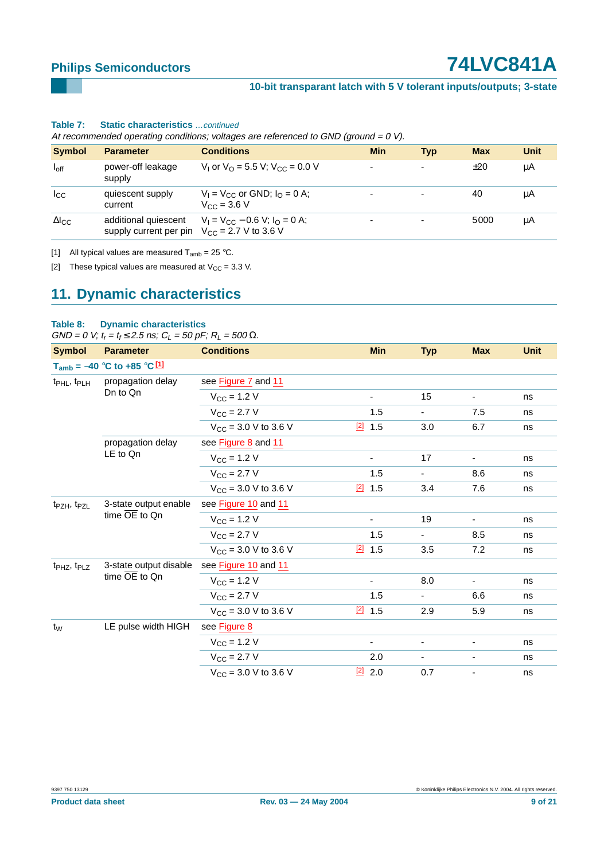### **10-bit transparant latch with 5 V tolerant inputs/outputs; 3-state**

| At recommended operating conditions; voltages are referenced to GND (ground = 0 V). |                                                |                                                                                    |                          |                          |            |             |  |  |
|-------------------------------------------------------------------------------------|------------------------------------------------|------------------------------------------------------------------------------------|--------------------------|--------------------------|------------|-------------|--|--|
| <b>Symbol</b>                                                                       | <b>Parameter</b>                               | <b>Conditions</b>                                                                  | <b>Min</b>               | Typ                      | <b>Max</b> | <b>Unit</b> |  |  |
| $I_{\text{off}}$                                                                    | power-off leakage<br>supply                    | V <sub>1</sub> or $V_0$ = 5.5 V; $V_{CC}$ = 0.0 V                                  | $\overline{\phantom{a}}$ | $\overline{\phantom{a}}$ | ±20        | μA          |  |  |
| $I_{\rm CC}$                                                                        | quiescent supply<br>current                    | $V_1 = V_{CC}$ or GND; $I_0 = 0$ A;<br>$V_{CC} = 3.6 V$                            |                          | $\overline{\phantom{a}}$ | 40         | μA          |  |  |
| $\Delta I_{\rm CC}$                                                                 | additional quiescent<br>supply current per pin | $V_1 = V_{CC} - 0.6 V$ ; $I_0 = 0 A$ ;<br>$V_{\text{CC}} = 2.7 \text{ V}$ to 3.6 V |                          |                          | 5000       | μA          |  |  |

### **Table 7: Static characteristics** …continued

<span id="page-8-0"></span>[1] All typical values are measured  $T_{amb} = 25 \degree C$ .

<span id="page-8-1"></span>[2] These typical values are measured at  $V_{CC} = 3.3$  V.

### <span id="page-8-2"></span>**11. Dynamic characteristics**

### **Table 8: Dynamic characteristics**

 $GND = 0$  V;  $t_r = t_f \le 2.5$  ns;  $C_L = 50$  pF;  $R_L = 500$   $\Omega$ .

| <b>Symbol</b>                       | <b>Parameter</b>                                    | <b>Conditions</b>         | <b>Min</b>               | <b>Typ</b>     | <b>Max</b>               | <b>Unit</b> |
|-------------------------------------|-----------------------------------------------------|---------------------------|--------------------------|----------------|--------------------------|-------------|
|                                     | $T_{amb} = -40$ °C to +85 °C [1]                    |                           |                          |                |                          |             |
| $t_{\sf PHL}$ , $t_{\sf PLH}$       | propagation delay                                   | see Figure 7 and 11       |                          |                |                          |             |
|                                     | Dn to Qn                                            | $V_{CC}$ = 1.2 V          | $\blacksquare$           | 15             | $\overline{\phantom{a}}$ | ns          |
|                                     |                                                     | $V_{\rm CC}$ = 2.7 V      | 1.5                      | $\blacksquare$ | 7.5                      | ns          |
|                                     |                                                     | $V_{CC}$ = 3.0 V to 3.6 V | [2]<br>1.5               | 3.0            | 6.7                      | ns          |
|                                     | propagation delay                                   | see Figure 8 and 11       |                          |                |                          |             |
|                                     | LE to Qn                                            | $V_{\text{CC}} = 1.2 V$   | $\overline{\phantom{a}}$ | 17             | ٠                        | ns          |
|                                     |                                                     | $V_{CC} = 2.7 V$          | 1.5                      |                | 8.6                      | ns          |
|                                     |                                                     | $V_{CC}$ = 3.0 V to 3.6 V | $[2]$ 1.5                | 3.4            | 7.6                      | ns          |
| t <sub>PZH</sub> , t <sub>PZL</sub> | 3-state output enable<br>time $\overline{OE}$ to Qn | see Figure 10 and 11      |                          |                |                          |             |
|                                     |                                                     | $V_{CC}$ = 1.2 V          | $\overline{\phantom{a}}$ | 19             | $\overline{\phantom{a}}$ | ns          |
|                                     |                                                     | $V_{\text{CC}} = 2.7 V$   | 1.5                      | $\blacksquare$ | 8.5                      | ns          |
|                                     |                                                     | $V_{CC}$ = 3.0 V to 3.6 V | $[2]$<br>1.5             | 3.5            | 7.2                      | ns          |
| t <sub>PHZ</sub> , t <sub>PLZ</sub> | 3-state output disable                              | see Figure 10 and 11      |                          |                |                          |             |
|                                     | time $\overline{OE}$ to Qn                          | $V_{\text{CC}} = 1.2 V$   | $\overline{\phantom{a}}$ | 8.0            | $\overline{\phantom{a}}$ | ns          |
|                                     |                                                     | $V_{CC} = 2.7 V$          | 1.5                      | $\blacksquare$ | 6.6                      | ns          |
|                                     |                                                     | $V_{CC}$ = 3.0 V to 3.6 V | $[2]$ 1.5                | 2.9            | 5.9                      | ns          |
| $t_{\rm W}$                         | LE pulse width HIGH                                 | see Figure 8              |                          |                |                          |             |
|                                     |                                                     | $V_{\rm CC}$ = 1.2 V      | $\blacksquare$           | $\blacksquare$ | $\blacksquare$           | ns          |
|                                     |                                                     | $V_{CC} = 2.7 V$          | 2.0                      | $\blacksquare$ | $\overline{\phantom{a}}$ | ns          |
|                                     |                                                     | $V_{CC}$ = 3.0 V to 3.6 V | $[2]$ 2.0                | 0.7            | -                        | ns          |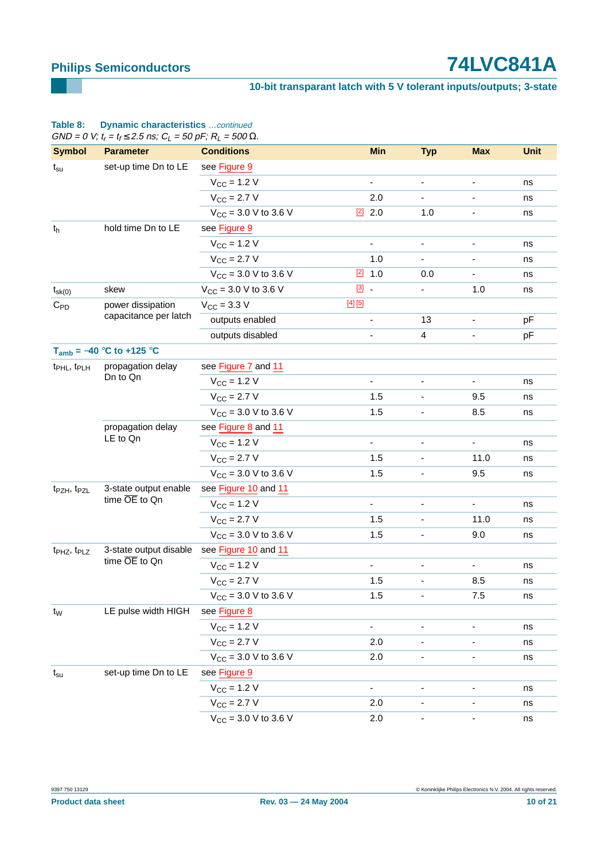### **10-bit transparant latch with 5 V tolerant inputs/outputs; 3-state**

|                                     | GND = 0 V; $t_r = t_f \le 2.5$ ns; $C_l = 50$ pF; $R_l = 500 \Omega$ . |                                 |                              |                              |                              |             |
|-------------------------------------|------------------------------------------------------------------------|---------------------------------|------------------------------|------------------------------|------------------------------|-------------|
| <b>Symbol</b>                       | <b>Parameter</b>                                                       | <b>Conditions</b>               |                              | <b>Min</b><br><b>Typ</b>     | <b>Max</b>                   | <b>Unit</b> |
| $t_{\rm su}$                        | set-up time Dn to LE                                                   | see Figure 9                    |                              |                              |                              |             |
|                                     |                                                                        | $V_{\rm CC}$ = 1.2 V            | $\overline{\phantom{a}}$     | $\overline{\phantom{a}}$     | $\overline{\phantom{0}}$     | ns          |
|                                     |                                                                        | $V_{CC}$ = 2.7 V                | 2.0                          |                              |                              | ns          |
|                                     |                                                                        | $V_{CC}$ = 3.0 V to 3.6 V       | $[2]$ 2.0                    | 1.0                          | $\overline{\phantom{a}}$     | ns          |
| $t_h$                               | hold time Dn to LE                                                     | see Figure 9                    |                              |                              |                              |             |
|                                     |                                                                        | $V_{\rm CC}$ = 1.2 V            | $\overline{\phantom{a}}$     | $\overline{\phantom{a}}$     | $\overline{\phantom{a}}$     | ns          |
|                                     |                                                                        | $V_{\rm CC} = 2.7 V$            | 1.0                          |                              |                              | ns          |
|                                     |                                                                        | $V_{CC}$ = 3.0 V to 3.6 V       | $[2]$ 1.0                    | 0.0                          | $\overline{\phantom{a}}$     | ns          |
| $t_{sk(0)}$                         | skew                                                                   | $V_{CC}$ = 3.0 V to 3.6 V       | $[3]$ .                      |                              | 1.0                          | ns          |
| $C_{PD}$                            | power dissipation                                                      | $V_{\text{CC}} = 3.3 \text{ V}$ | $[4]$ [5]                    |                              |                              |             |
|                                     | capacitance per latch                                                  | outputs enabled                 | $\overline{\phantom{a}}$     | 13                           | $\qquad \qquad \blacksquare$ | pF          |
|                                     |                                                                        | outputs disabled                | $\qquad \qquad \blacksquare$ | $\overline{4}$               | -                            | pF          |
|                                     | $T_{amb} = -40$ °C to +125 °C                                          |                                 |                              |                              |                              |             |
| t <sub>PHL</sub> , t <sub>PLH</sub> | propagation delay                                                      | see Figure 7 and 11             |                              |                              |                              |             |
|                                     | Dn to Qn                                                               | $V_{CC}$ = 1.2 V                |                              |                              |                              | ns          |
|                                     |                                                                        | $V_{\rm CC} = 2.7 V$            | 1.5                          | $\overline{\phantom{a}}$     | 9.5                          | ns          |
|                                     |                                                                        | $V_{CC}$ = 3.0 V to 3.6 V       | 1.5                          |                              | 8.5                          | ns          |
|                                     | propagation delay<br>LE to Qn                                          | see Figure 8 and 11             |                              |                              |                              |             |
|                                     |                                                                        | $V_{\rm CC} = 1.2 V$            | -                            |                              |                              | ns          |
|                                     |                                                                        | $V_{\rm CC} = 2.7 V$            | 1.5                          | $\overline{\phantom{a}}$     | 11.0                         | ns          |
|                                     |                                                                        | $V_{CC}$ = 3.0 V to 3.6 V       | 1.5                          |                              | 9.5                          | ns          |
| t <sub>PZH</sub> , t <sub>PZL</sub> | 3-state output enable<br>time $\overline{OE}$ to Qn                    | see Figure 10 and 11            |                              |                              |                              |             |
|                                     |                                                                        | $V_{CC} = 1.2 V$                | $\overline{\phantom{0}}$     | $\overline{\phantom{a}}$     |                              | ns          |
|                                     |                                                                        | $V_{\rm CC} = 2.7 V$            | 1.5                          | $\overline{\phantom{a}}$     | 11.0                         | ns          |
|                                     |                                                                        | $V_{CC}$ = 3.0 V to 3.6 V       | 1.5                          | $\qquad \qquad \blacksquare$ | 9.0                          | ns          |
| t <sub>PHZ</sub> , t <sub>PLZ</sub> | 3-state output disable<br>time $\overline{OE}$ to Qn                   | see Figure 10 and 11            |                              |                              |                              |             |
|                                     |                                                                        | $V_{CC} = 1.2 V$                |                              |                              |                              | ns          |
|                                     |                                                                        | $V_{CC} = 2.7 V$                | 1.5                          | $\overline{\phantom{a}}$     | 8.5                          | ns          |
|                                     |                                                                        | $V_{CC}$ = 3.0 V to 3.6 V       | 1.5                          |                              | 7.5                          | ns          |
| t <sub>w</sub>                      | LE pulse width HIGH                                                    | see Figure 8                    |                              |                              |                              |             |
|                                     |                                                                        | $V_{CC}$ = 1.2 V                | ۰                            |                              |                              | ns          |
|                                     |                                                                        | $V_{CC} = 2.7 V$                | 2.0                          |                              |                              | ns          |
|                                     |                                                                        | $V_{CC}$ = 3.0 V to 3.6 V       | 2.0                          |                              |                              | ns          |
| $t_{\rm su}$                        | set-up time Dn to LE                                                   | see Figure 9                    |                              |                              |                              |             |
|                                     |                                                                        | $V_{CC} = 1.2 V$                | ۰                            | -                            |                              | ns          |
|                                     |                                                                        | $V_{CC} = 2.7 V$                | 2.0                          |                              |                              | ns          |
|                                     |                                                                        | $V_{CC}$ = 3.0 V to 3.6 V       | 2.0                          |                              |                              | ns          |

### **Table 8: Dynamic characteristics** …continued

Product data sheet **Rev. 03** — 24 May 2004 **10 of 21**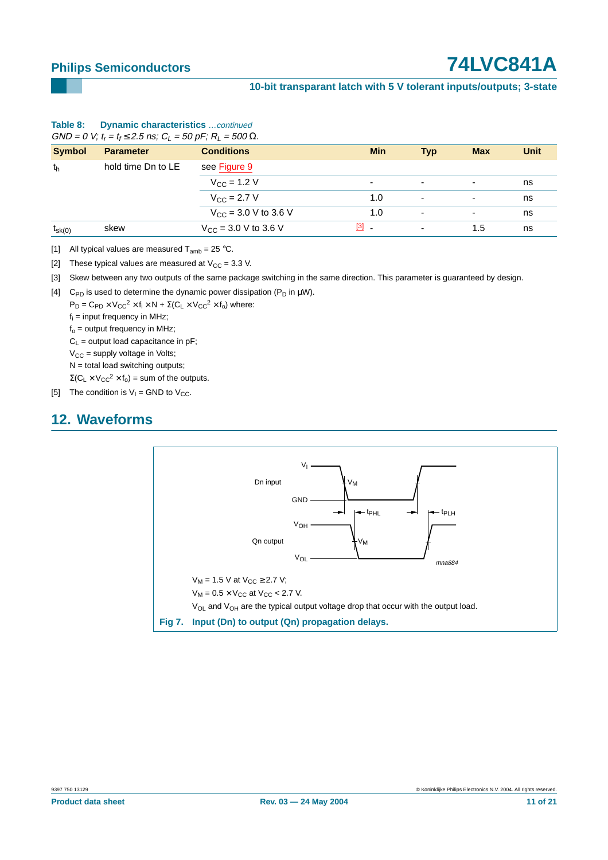### **10-bit transparant latch with 5 V tolerant inputs/outputs; 3-state**

| $U = U V$ , $I_r = I_f \ge 2.5$ is, $U_l = 30$ pr , $IV_l = 300$ ss. |                    |                                          |                          |                          |                          |             |
|----------------------------------------------------------------------|--------------------|------------------------------------------|--------------------------|--------------------------|--------------------------|-------------|
| <b>Symbol</b>                                                        | <b>Parameter</b>   | <b>Conditions</b>                        | <b>Min</b>               | <b>Typ</b>               | <b>Max</b>               | <b>Unit</b> |
| th                                                                   | hold time Dn to LE | see Figure 9                             |                          |                          |                          |             |
|                                                                      |                    | $V_{\rm CC}$ = 1.2 V                     | $\overline{\phantom{0}}$ | $\blacksquare$           | $\overline{\phantom{a}}$ | ns          |
|                                                                      |                    | $V_{\rm CC}$ = 2.7 V                     | 1.0                      | $\overline{a}$           | $\overline{\phantom{a}}$ | ns          |
|                                                                      |                    | $V_{CC}$ = 3.0 V to 3.6 V                | 1.0                      | $\overline{a}$           | ۰                        | ns          |
| $t_{\rm sk(0)}$                                                      | skew               | $V_{\text{CC}} = 3.0 \text{ V}$ to 3.6 V | $[3]$ $-$                | $\overline{\phantom{a}}$ | 1.5                      | ns          |

### **Table 8: Dynamic characteristics** …continued  $GND = 0$  V;  $t = t_1 \le 2.5$  ns;  $C_1 = 50$  pF;  $R_1 = 500$  Q.

<span id="page-10-0"></span>[1] All typical values are measured  $T_{amb} = 25 \degree C$ .

<span id="page-10-2"></span>[2] These typical values are measured at  $V_{CC} = 3.3$  V.

<span id="page-10-3"></span>[3] Skew between any two outputs of the same package switching in the same direction. This parameter is guaranteed by design.

<span id="page-10-4"></span>[4] C<sub>PD</sub> is used to determine the dynamic power dissipation ( $P_D$  in  $\mu$ W).

 $P_D = C_{PD} \times V_{CC}^2 \times f_i \times N + \Sigma (C_L \times V_{CC}^2 \times f_o)$  where:

 $f_i$  = input frequency in MHz;

 $f_0$  = output frequency in MHz;

 $C_L$  = output load capacitance in pF;

 $V_{CC}$  = supply voltage in Volts;

 $N =$  total load switching outputs;

 $\Sigma$ (C<sub>L</sub> × V<sub>CC</sub><sup>2</sup> × f<sub>o</sub>) = sum of the outputs.

<span id="page-10-5"></span>[5] The condition is  $V_1$  = GND to  $V_{CC}$ .

### <span id="page-10-6"></span>**12. Waveforms**

<span id="page-10-1"></span>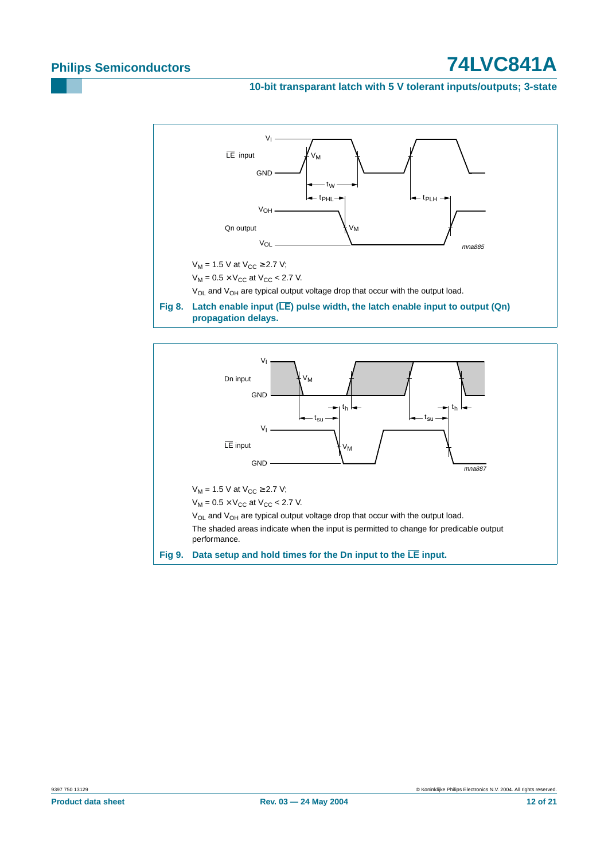### **10-bit transparant latch with 5 V tolerant inputs/outputs; 3-state**



<span id="page-11-1"></span><span id="page-11-0"></span>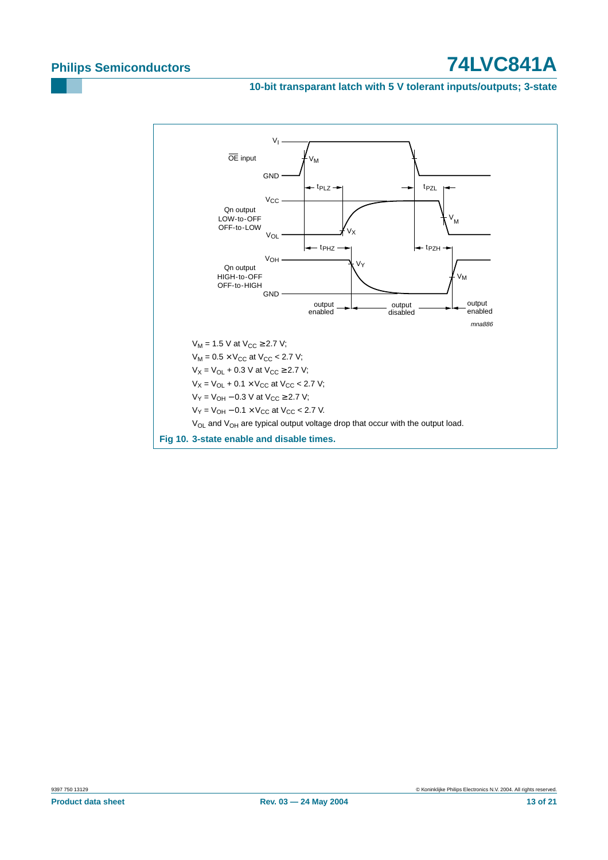### **10-bit transparant latch with 5 V tolerant inputs/outputs; 3-state**

<span id="page-12-0"></span>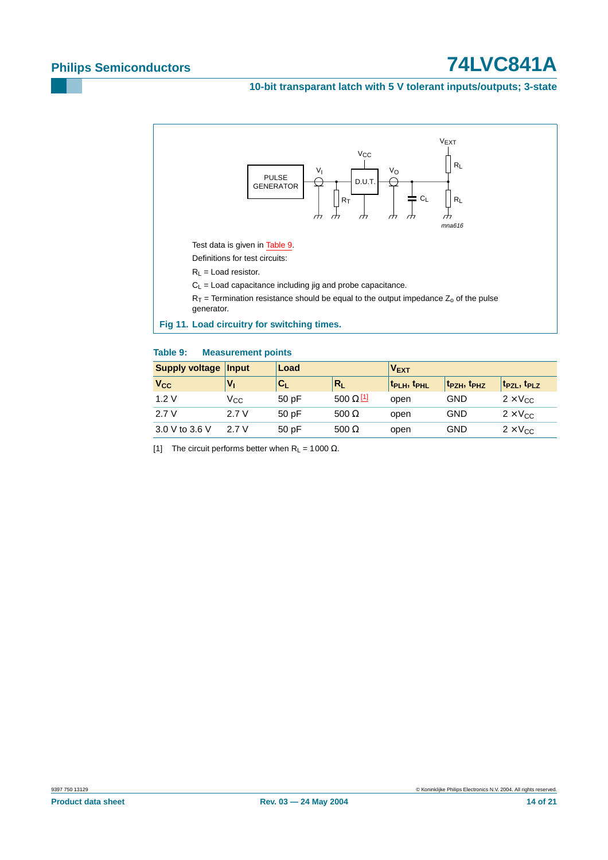### **10-bit transparant latch with 5 V tolerant inputs/outputs; 3-state**



### <span id="page-13-1"></span><span id="page-13-0"></span>**Table 9: Measurement points**

| <b>Supply voltage</b> | <b>Input</b> | Load      |                             | $V_{\text{EXT}}$                    |                                     |                                     |
|-----------------------|--------------|-----------|-----------------------------|-------------------------------------|-------------------------------------|-------------------------------------|
| <b>V<sub>cc</sub></b> | V,           | <b>CL</b> | $R_L$                       | t <sub>PLH</sub> , t <sub>PHL</sub> | t <sub>PZH</sub> , t <sub>PHZ</sub> | t <sub>PZL</sub> , t <sub>PLZ</sub> |
| 1.2V                  | Vcc          | 50pF      | $500 \Omega$ <sup>[1]</sup> | open                                | GND                                 | $2 \times V_{CC}$                   |
| 2.7V                  | 2.7 V        | 50pF      | 500 $\Omega$                | open                                | GND                                 | $2 \times V_{CC}$                   |
| 3.0 V to 3.6 V        | 2.7 V        | 50pF      | 500 $\Omega$                | open                                | GND                                 | $2 \times V_{CC}$                   |

<span id="page-13-2"></span>[1] The circuit performs better when  $R_L = 1000 \Omega$ .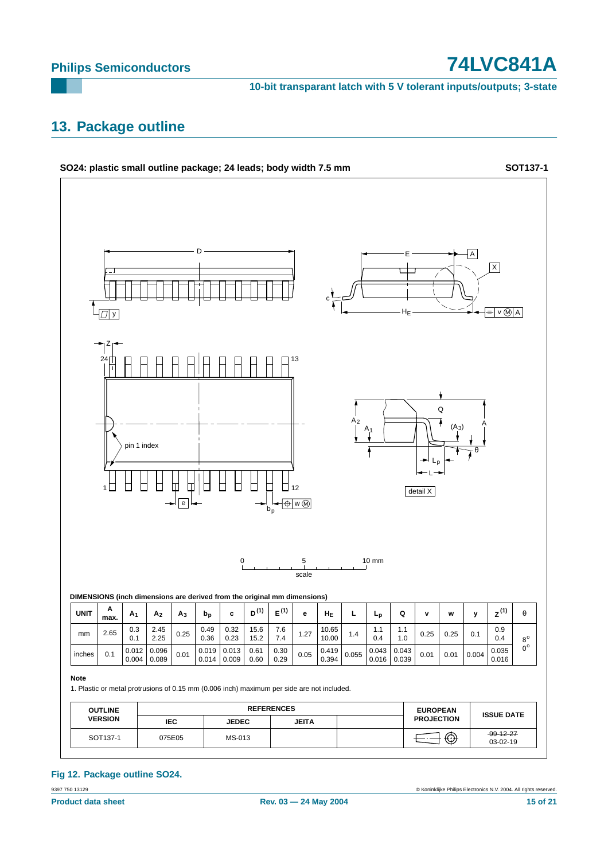**10-bit transparant latch with 5 V tolerant inputs/outputs; 3-state**

### <span id="page-14-0"></span>**13. Package outline**



### **Fig 12. Package outline SO24.**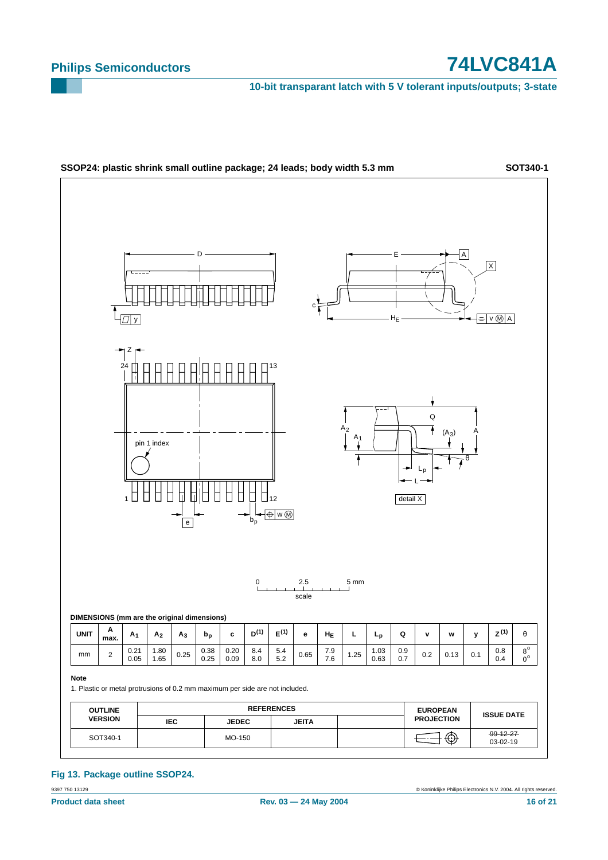**10-bit transparant latch with 5 V tolerant inputs/outputs; 3-state**



### **Fig 13. Package outline SSOP24.**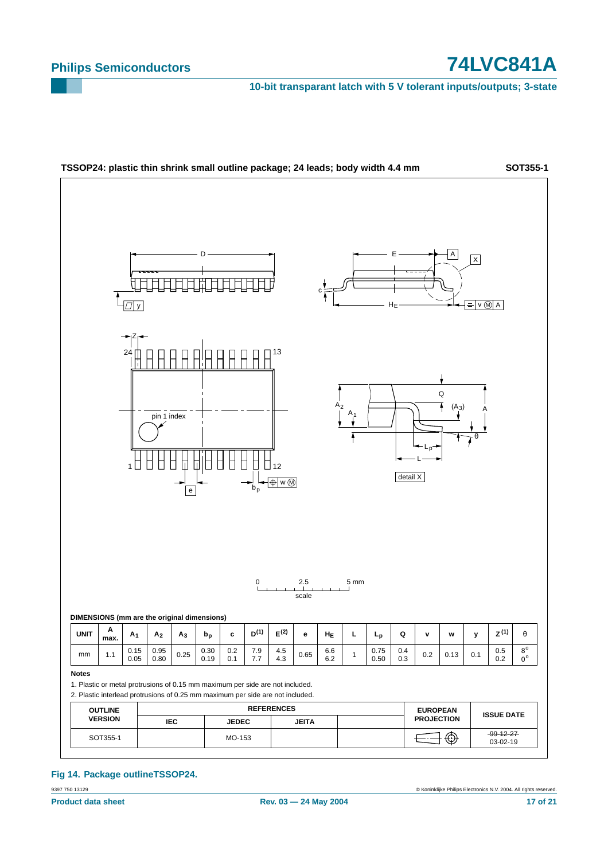**10-bit transparant latch with 5 V tolerant inputs/outputs; 3-state**



**Fig 14. Package outlineTSSOP24.**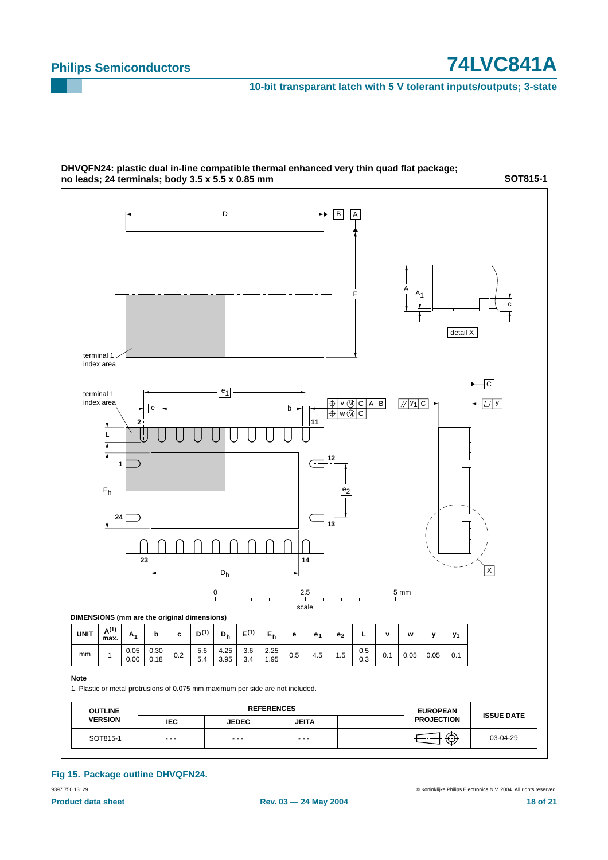**10-bit transparant latch with 5 V tolerant inputs/outputs; 3-state**



### **DHVQFN24: plastic dual in-line compatible thermal enhanced very thin quad flat package; no leads; 24 terminals; body 3.5 x 5.5 x 0.85 mm**

### **Fig 15. Package outline DHVQFN24.**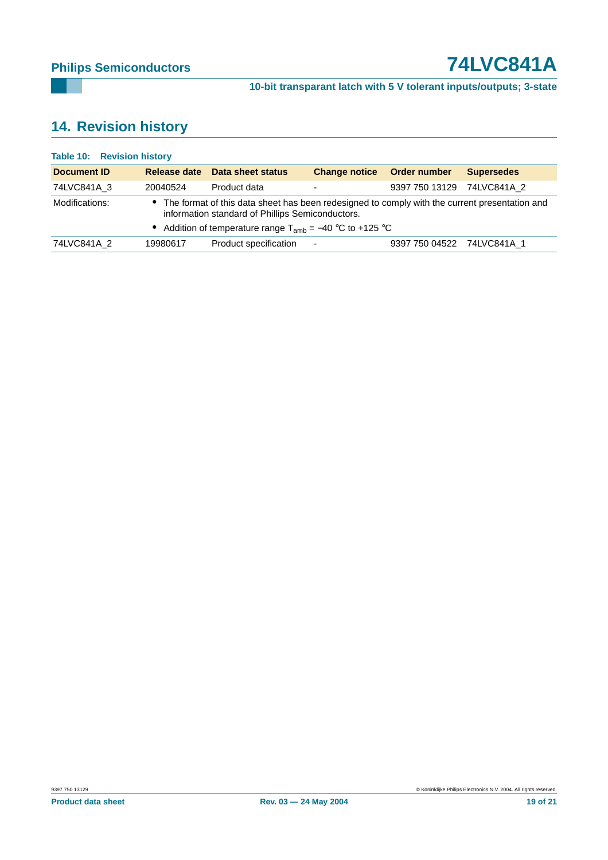**10-bit transparant latch with 5 V tolerant inputs/outputs; 3-state**

## <span id="page-18-0"></span>**14. Revision history**

| <b>Document ID</b>                                                                                                                                                  | Release date | Data sheet status                                             | <b>Change notice</b> | Order number   | <b>Supersedes</b> |  |  |
|---------------------------------------------------------------------------------------------------------------------------------------------------------------------|--------------|---------------------------------------------------------------|----------------------|----------------|-------------------|--|--|
| 74LVC841A 3                                                                                                                                                         | 20040524     | Product data                                                  |                      | 9397 750 13129 | 74LVC841A 2       |  |  |
| The format of this data sheet has been redesigned to comply with the current presentation and<br>Modifications:<br>information standard of Phillips Semiconductors. |              |                                                               |                      |                |                   |  |  |
|                                                                                                                                                                     |              | • Addition of temperature range $T_{amb} = -40$ °C to +125 °C |                      |                |                   |  |  |
| 74LVC841A 2                                                                                                                                                         | 19980617     | Product specification                                         | $\sim$               | 9397 750 04522 | 74LVC841A 1       |  |  |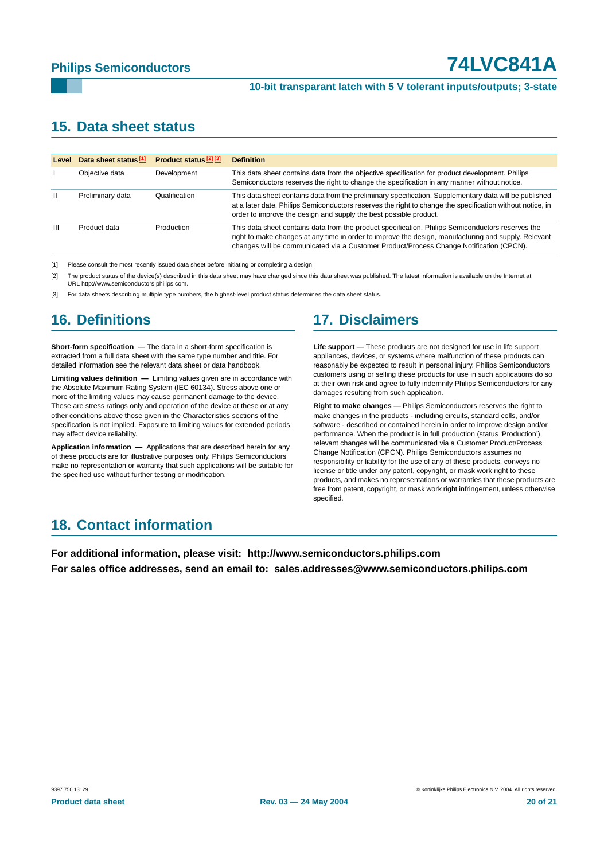### **10-bit transparant latch with 5 V tolerant inputs/outputs; 3-state**

### <span id="page-19-0"></span>**15. Data sheet status**

| Level         | Data sheet status <sup>[1]</sup> | Product status <sup>[2][3]</sup> | <b>Definition</b>                                                                                                                                                                                                                                                                                    |
|---------------|----------------------------------|----------------------------------|------------------------------------------------------------------------------------------------------------------------------------------------------------------------------------------------------------------------------------------------------------------------------------------------------|
|               |                                  |                                  |                                                                                                                                                                                                                                                                                                      |
|               | Objective data                   | Development                      | This data sheet contains data from the objective specification for product development. Philips<br>Semiconductors reserves the right to change the specification in any manner without notice.                                                                                                       |
| $\mathbf{II}$ | Preliminary data                 | Qualification                    | This data sheet contains data from the preliminary specification. Supplementary data will be published<br>at a later date. Philips Semiconductors reserves the right to change the specification without notice, in<br>order to improve the design and supply the best possible product.             |
| Ш             | Product data                     | Production                       | This data sheet contains data from the product specification. Philips Semiconductors reserves the<br>right to make changes at any time in order to improve the design, manufacturing and supply. Relevant<br>changes will be communicated via a Customer Product/Process Change Notification (CPCN). |

[1] Please consult the most recently issued data sheet before initiating or completing a design.

[2] The product status of the device(s) described in this data sheet may have changed since this data sheet was published. The latest information is available on the Internet at URL http://www.semiconductors.philips.com.

[3] For data sheets describing multiple type numbers, the highest-level product status determines the data sheet status.

### <span id="page-19-1"></span>**16. Definitions**

**Short-form specification —** The data in a short-form specification is extracted from a full data sheet with the same type number and title. For detailed information see the relevant data sheet or data handbook.

**Limiting values definition —** Limiting values given are in accordance with the Absolute Maximum Rating System (IEC 60134). Stress above one or more of the limiting values may cause permanent damage to the device. These are stress ratings only and operation of the device at these or at any other conditions above those given in the Characteristics sections of the specification is not implied. Exposure to limiting values for extended periods may affect device reliability.

**Application information —** Applications that are described herein for any of these products are for illustrative purposes only. Philips Semiconductors make no representation or warranty that such applications will be suitable for the specified use without further testing or modification.

### <span id="page-19-2"></span>**17. Disclaimers**

**Life support —** These products are not designed for use in life support appliances, devices, or systems where malfunction of these products can reasonably be expected to result in personal injury. Philips Semiconductors customers using or selling these products for use in such applications do so at their own risk and agree to fully indemnify Philips Semiconductors for any damages resulting from such application.

**Right to make changes —** Philips Semiconductors reserves the right to make changes in the products - including circuits, standard cells, and/or software - described or contained herein in order to improve design and/or performance. When the product is in full production (status 'Production'), relevant changes will be communicated via a Customer Product/Process Change Notification (CPCN). Philips Semiconductors assumes no responsibility or liability for the use of any of these products, conveys no license or title under any patent, copyright, or mask work right to these products, and makes no representations or warranties that these products are free from patent, copyright, or mask work right infringement, unless otherwise specified.

### <span id="page-19-3"></span>**18. Contact information**

**For additional information, please visit: http://www.semiconductors.philips.com For sales office addresses, send an email to: sales.addresses@www.semiconductors.philips.com**